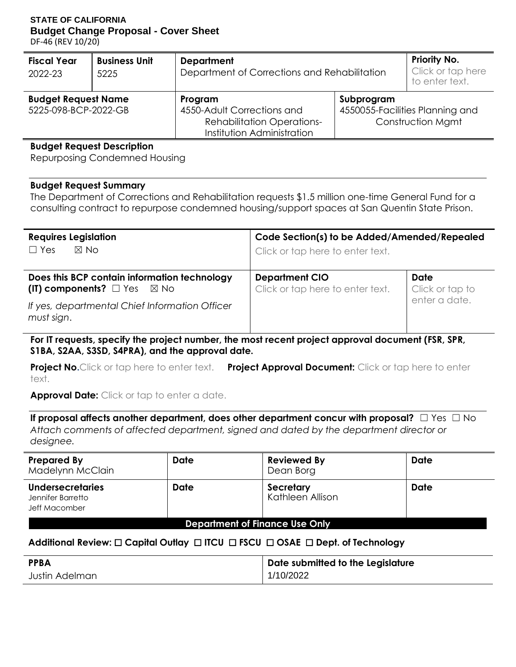#### **STATE OF CALIFORNIA Budget Change Proposal - Cover Sheet**

DF-46 (REV 10/20)

| <b>Fiscal Year</b><br>2022-23                      | <b>Business Unit</b><br>5225 | <b>Department</b><br>Department of Corrections and Rehabilitation                                        | <b>Priority No.</b><br>Click or tap here<br>to enter text. |                                                             |  |  |
|----------------------------------------------------|------------------------------|----------------------------------------------------------------------------------------------------------|------------------------------------------------------------|-------------------------------------------------------------|--|--|
| <b>Budget Request Name</b><br>5225-098-BCP-2022-GB |                              | Program<br>4550-Adult Corrections and<br><b>Rehabilitation Operations-</b><br>Institution Administration | Subprogram                                                 | 4550055-Facilities Planning and<br><b>Construction Mgmt</b> |  |  |

#### **Budget Request Description**

Repurposing Condemned Housing

#### **Budget Request Summary**

The Department of Corrections and Rehabilitation requests \$1.5 million one-time General Fund for a consulting contract to repurpose condemned housing/support spaces at San Quentin State Prison.

| <b>Requires Legislation</b><br>$\boxtimes$ No<br>$\Box$ Yes                                | Code Section(s) to be Added/Amended/Repealed<br>Click or tap here to enter text. |                         |  |  |
|--------------------------------------------------------------------------------------------|----------------------------------------------------------------------------------|-------------------------|--|--|
| Does this BCP contain information technology<br>(IT) components? $\Box$ Yes $\boxtimes$ No | <b>Department CIO</b><br>Click or tap here to enter text.                        | Date<br>Click or tap to |  |  |
| If yes, departmental Chief Information Officer<br>must sign.                               |                                                                                  | enter a date.           |  |  |

**For IT requests, specify the project number, the most recent project approval document (FSR, SPR, S1BA, S2AA, S3SD, S4PRA), and the approval date.** 

 **Project No.**Click or tap here to enter text. **Project Approval Document:** Click or tap here to enter text.

**Approval Date:** Click or tap to enter a date.

 **If proposal affects another department, does other department concur with proposal?** ☐ Yes ☐ No *Attach comments of affected department, signed and dated by the department director or designee.* 

| <b>Prepared By</b><br>Madelynn McClain                        | <b>Date</b> | <b>Reviewed By</b><br>Dean Borg | Date |  |  |
|---------------------------------------------------------------|-------------|---------------------------------|------|--|--|
| <b>Undersecretaries</b><br>Jennifer Barretto<br>Jeff Macomber | Date        | Secretary<br>Kathleen Allison   | Date |  |  |
| <b>Department of Finance Use Only</b>                         |             |                                 |      |  |  |

### **Additional Review:** ☐ **Capital Outlay** ☐ **ITCU** ☐ **FSCU** ☐ **OSAE** ☐ **Dept. of Technology**

| <b>PPBA</b>    | Date submitted to the Legislature |
|----------------|-----------------------------------|
| Justin Adelman | 1/10/2022                         |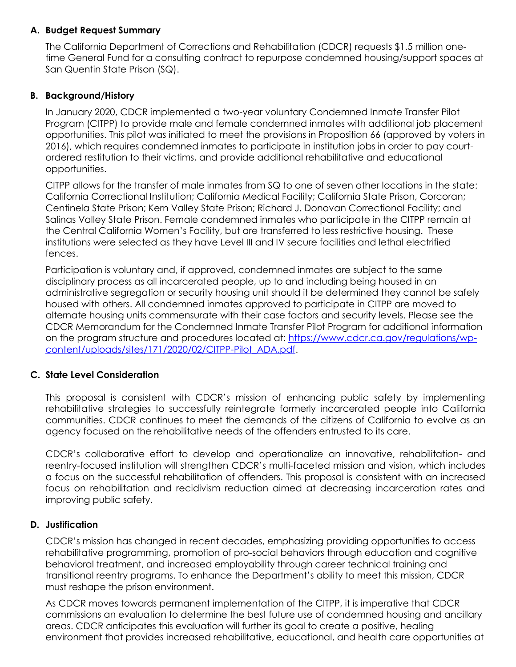## **A. Budget Request Summary**

 San Quentin State Prison (SQ). The California Department of Corrections and Rehabilitation (CDCR) requests \$1.5 million onetime General Fund for a consulting contract to repurpose condemned housing/support spaces at

## **B. Background/History**

 In January 2020, CDCR implemented a two-year voluntary Condemned Inmate Transfer Pilot Program (CITPP) to provide male and female condemned inmates with additional job placement opportunities. This pilot was initiated to meet the provisions in Proposition 66 (approved by voters in 2016), which requires condemned inmates to participate in institution jobs in order to pay court- ordered restitution to their victims, and provide additional rehabilitative and educational opportunities.

 CITPP allows for the transfer of male inmates from SQ to one of seven other locations in the state: California Correctional Institution; California Medical Facility; California State Prison, Corcoran; Centinela State Prison; Kern Valley State Prison; Richard J. Donovan Correctional Facility; and the Central California Women's Facility, but are transferred to less restrictive housing. These institutions were selected as they have Level III and IV secure facilities and lethal electrified Salinas Valley State Prison. Female condemned inmates who participate in the CITPP remain at fences.

 Participation is voluntary and, if approved, condemned inmates are subject to the same disciplinary process as all incarcerated people, up to and including being housed in an administrative segregation or security housing unit should it be determined they cannot be safely housed with others. All condemned inmates approved to participate in CITPP are moved to alternate housing units commensurate with their case factors and security levels. Please see the CDCR Memorandum for the Condemned Inmate Transfer Pilot Program for additional information on the program structure and procedures located at: [https://www.cdcr.ca.gov/regulations/wp](https://www.cdcr.ca.gov/regulations/wp-content/uploads/sites/171/2020/02/CITPP-Pilot_ADA.pdf)[content/uploads/sites/171/2020/02/CITPP-Pilot\\_ADA.pdf.](https://www.cdcr.ca.gov/regulations/wp-content/uploads/sites/171/2020/02/CITPP-Pilot_ADA.pdf)

## **C. State Level Consideration**

 This proposal is consistent with CDCR's mission of enhancing public safety by implementing rehabilitative strategies to successfully reintegrate formerly incarcerated people into California communities. CDCR continues to meet the demands of the citizens of California to evolve as an agency focused on the rehabilitative needs of the offenders entrusted to its care.

 CDCR's collaborative effort to develop and operationalize an innovative, rehabilitation- and a focus on the successful rehabilitation of offenders. This proposal is consistent with an increased focus on rehabilitation and recidivism reduction aimed at decreasing incarceration rates and reentry-focused institution will strengthen CDCR's multi-faceted mission and vision, which includes improving public safety.

### **D. Justification**

 CDCR's mission has changed in recent decades, emphasizing providing opportunities to access rehabilitative programming, promotion of pro-social behaviors through education and cognitive behavioral treatment, and increased employability through career technical training and transitional reentry programs. To enhance the Department's ability to meet this mission, CDCR must reshape the prison environment.

 As CDCR moves towards permanent implementation of the CITPP, it is imperative that CDCR areas. CDCR anticipates this evaluation will further its goal to create a positive, healing commissions an evaluation to determine the best future use of condemned housing and ancillary environment that provides increased rehabilitative, educational, and health care opportunities at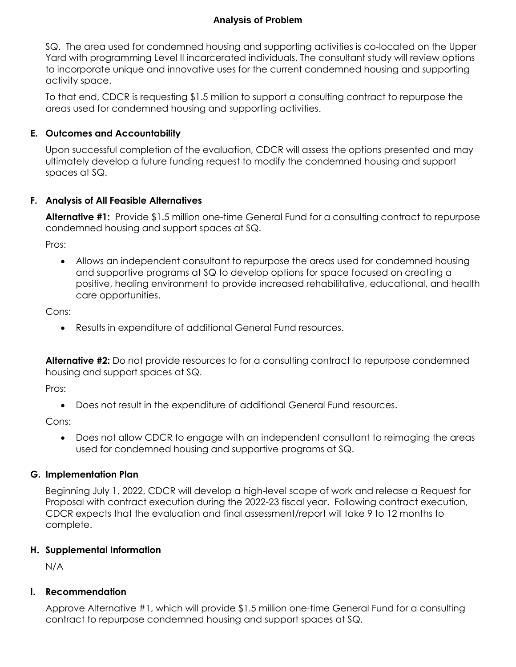## **Analysis of Problem**

 SQ. The area used for condemned housing and supporting activities is co-located on the Upper Yard with programming Level II incarcerated individuals. The consultant study will review options to incorporate unique and innovative uses for the current condemned housing and supporting activity space.

 To that end, CDCR is requesting \$1.5 million to support a consulting contract to repurpose the areas used for condemned housing and supporting activities.

## **E. Outcomes and Accountability**

 Upon successful completion of the evaluation, CDCR will assess the options presented and may ultimately develop a future funding request to modify the condemned housing and support spaces at SQ.

## **F. Analysis of All Feasible Alternatives**

 **Alternative #1:** Provide \$1.5 million one-time General Fund for a consulting contract to repurpose condemned housing and support spaces at SQ.

Pros:

 Allows an independent consultant to repurpose the areas used for condemned housing and supportive programs at SQ to develop options for space focused on creating a positive, healing environment to provide increased rehabilitative, educational, and health care opportunities.

Cons:

Results in expenditure of additional General Fund resources.

 **Alternative #2:** Do not provide resources to for a consulting contract to repurpose condemned housing and support spaces at SQ.

Pros:

Does not result in the expenditure of additional General Fund resources.

Cons:

 Does not allow CDCR to engage with an independent consultant to reimaging the areas used for condemned housing and supportive programs at SQ.

## **G. Implementation Plan**

 Beginning July 1, 2022, CDCR will develop a high-level scope of work and release a Request for Proposal with contract execution during the 2022-23 fiscal year. Following contract execution, CDCR expects that the evaluation and final assessment/report will take 9 to 12 months to complete.

### **H. Supplemental Information**

N/A

### **I. Recommendation**

Approve Alternative #1, which will provide \$1.5 million one-time General Fund for a consulting contract to repurpose condemned housing and support spaces at SQ.